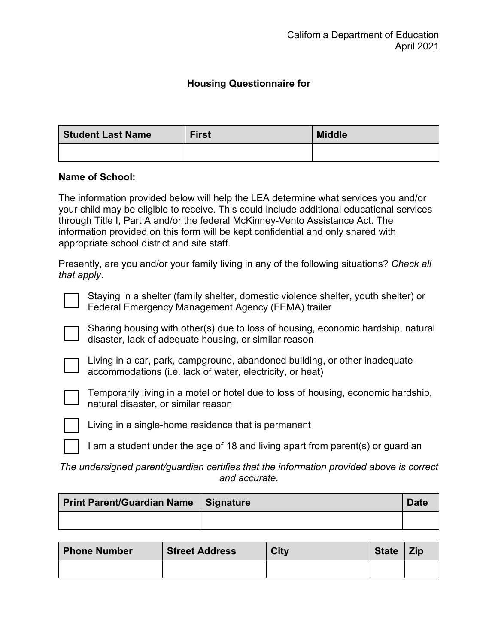## **Housing Questionnaire for**

| <b>Student Last Name</b> | <b>First</b> | <b>Middle</b> |
|--------------------------|--------------|---------------|
|                          |              |               |

## **Name of School:**

 The information provided below will help the LEA determine what services you and/or through Title I, Part A and/or the federal McKinney-Vento Assistance Act. The your child may be eligible to receive. This could include additional educational services information provided on this form will be kept confidential and only shared with appropriate school district and site staff.

Presently, are you and/or your family living in any of the following situations? *Check all that apply*.

 Federal Emergency Management Agency (FEMA) trailer Staying in a shelter (family shelter, domestic violence shelter, youth shelter) or



Sharing housing with other(s) due to loss of housing, economic hardship, natural disaster, lack of adequate housing, or similar reason



Living in a car, park, campground, abandoned building, or other inadequate accommodations (i.e. lack of water, electricity, or heat)



 natural disaster, or similar reason Temporarily living in a motel or hotel due to loss of housing, economic hardship,



Living in a single-home residence that is permanent

I am a student under the age of 18 and living apart from parent(s) or guardian

*The undersigned parent/guardian certifies that the information provided above is correct and accurate.* 

| <b>Print Parent/Guardian Name Signature</b> | <b>Date</b> |
|---------------------------------------------|-------------|
|                                             |             |

| <b>Phone Number</b> | <b>Street Address</b> | <b>City</b> | <b>State</b> | Zip |
|---------------------|-----------------------|-------------|--------------|-----|
|                     |                       |             |              |     |